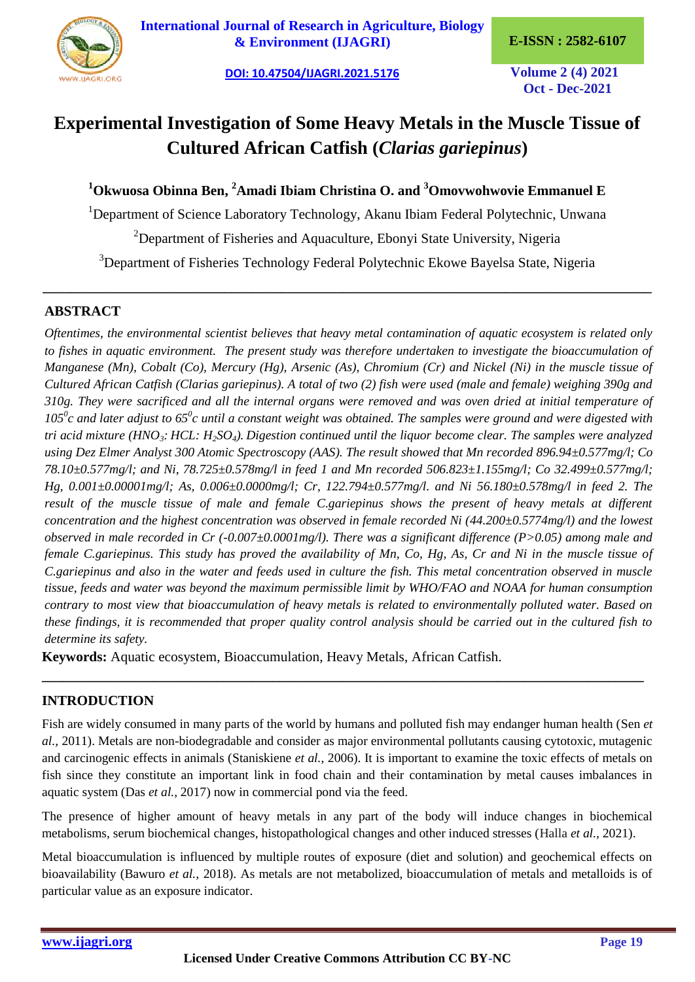

**[International Journal of Research in Agriculture, Biology](https://ijagri.org/index.php/ijagri/about)  [& Environment \(IJAGRI\)](https://ijagri.org/index.php/ijagri/about) E-ISSN : 2582-6107**

**[DOI: 10.47504/IJAGRI.2021.5176](https://doi.org/10.47504/IJAGRI.2021.5176) Volume 2 (4) 2021**

**Oct - Dec-2021**

# **Experimental Investigation of Some Heavy Metals in the Muscle Tissue of Cultured African Catfish (***Clarias gariepinus***)**

# **<sup>1</sup>Okwuosa Obinna Ben, <sup>2</sup>Amadi Ibiam Christina O. and <sup>3</sup>Omovwohwovie Emmanuel E**

<sup>1</sup>Department of Science Laboratory Technology, Akanu Ibiam Federal Polytechnic, Unwana

 $2$ Department of Fisheries and Aquaculture, Ebonyi State University, Nigeria

<sup>3</sup>Department of Fisheries Technology Federal Polytechnic Ekowe Bayelsa State, Nigeria

**\_\_\_\_\_\_\_\_\_\_\_\_\_\_\_\_\_\_\_\_\_\_\_\_\_\_\_\_\_\_\_\_\_\_\_\_\_\_\_\_\_\_\_\_\_\_\_\_\_\_\_\_\_\_\_\_\_\_\_\_\_\_\_\_\_\_\_\_\_\_\_\_\_\_\_\_\_\_\_\_\_\_\_\_\_\_\_**

## **ABSTRACT**

*Oftentimes, the environmental scientist believes that heavy metal contamination of aquatic ecosystem is related only to fishes in aquatic environment. The present study was therefore undertaken to investigate the bioaccumulation of Manganese (Mn), Cobalt (Co), Mercury (Hg), Arsenic (As), Chromium (Cr) and Nickel (Ni) in the muscle tissue of Cultured African Catfish (Clarias gariepinus). A total of two (2) fish were used (male and female) weighing 390g and 310g. They were sacrificed and all the internal organs were removed and was oven dried at initial temperature of 105<sup>0</sup> c and later adjust to 65<sup>0</sup> c until a constant weight was obtained. The samples were ground and were digested with tri acid mixture (HNO3: HCL: H2SO4). Digestion continued until the liquor become clear. The samples were analyzed using Dez Elmer Analyst 300 Atomic Spectroscopy (AAS). The result showed that Mn recorded 896.94±0.577mg/l; Co 78.10±0.577mg/l; and Ni, 78.725±0.578mg/l in feed 1 and Mn recorded 506.823±1.155mg/l; Co 32.499±0.577mg/l; Hg, 0.001±0.00001mg/l; As, 0.006±0.0000mg/l; Cr, 122.794±0.577mg/l. and Ni 56.180±0.578mg/l in feed 2. The result of the muscle tissue of male and female C.gariepinus shows the present of heavy metals at different concentration and the highest concentration was observed in female recorded Ni (44.200±0.5774mg/l) and the lowest observed in male recorded in Cr (-0.007±0.0001mg/l). There was a significant difference (P>0.05) among male and female C.gariepinus. This study has proved the availability of Mn, Co, Hg, As, Cr and Ni in the muscle tissue of C.gariepinus and also in the water and feeds used in culture the fish. This metal concentration observed in muscle tissue, feeds and water was beyond the maximum permissible limit by WHO/FAO and NOAA for human consumption contrary to most view that bioaccumulation of heavy metals is related to environmentally polluted water. Based on these findings, it is recommended that proper quality control analysis should be carried out in the cultured fish to determine its safety.*

**Keywords:** Aquatic ecosystem, Bioaccumulation, Heavy Metals, African Catfish.

# **INTRODUCTION**

Fish are widely consumed in many parts of the world by humans and polluted fish may endanger human health (Sen *et al.,* 2011). Metals are non-biodegradable and consider as major environmental pollutants causing cytotoxic, mutagenic and carcinogenic effects in animals (Staniskiene *et al.,* 2006). It is important to examine the toxic effects of metals on fish since they constitute an important link in food chain and their contamination by metal causes imbalances in aquatic system (Das *et al.,* 2017) now in commercial pond via the feed.

**\_\_\_\_\_\_\_\_\_\_\_\_\_\_\_\_\_\_\_\_\_\_\_\_\_\_\_\_\_\_\_\_\_\_\_\_\_\_\_\_\_\_\_\_\_\_\_\_\_\_\_\_\_\_\_\_\_\_\_\_\_\_\_\_\_\_\_\_\_\_\_\_\_\_\_\_\_\_\_\_\_\_\_\_\_\_**

The presence of higher amount of heavy metals in any part of the body will induce changes in biochemical metabolisms, serum biochemical changes, histopathological changes and other induced stresses (Halla *et al.,* 2021).

Metal bioaccumulation is influenced by multiple routes of exposure (diet and solution) and geochemical effects on bioavailability (Bawuro *et al.,* 2018). As metals are not metabolized, bioaccumulation of metals and metalloids is of particular value as an exposure indicator.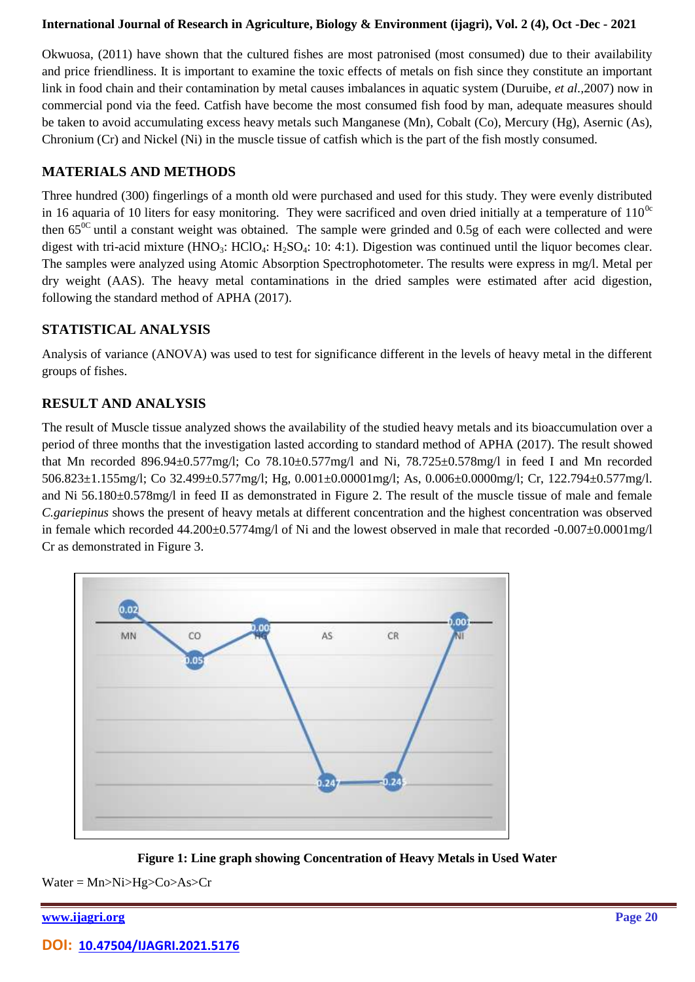#### **International Journal of Research in Agriculture, Biology & Environment [\(ijagri\),](http://www.ijasre.net/) Vol. 2 (4), Oct -Dec - 2021**

Okwuosa, (2011) have shown that the cultured fishes are most patronised (most consumed) due to their availability and price friendliness. It is important to examine the toxic effects of metals on fish since they constitute an important link in food chain and their contamination by metal causes imbalances in aquatic system (Duruibe, *et al.,*2007) now in commercial pond via the feed. Catfish have become the most consumed fish food by man, adequate measures should be taken to avoid accumulating excess heavy metals such Manganese (Mn), Cobalt (Co), Mercury (Hg), Asernic (As), Chronium (Cr) and Nickel (Ni) in the muscle tissue of catfish which is the part of the fish mostly consumed.

## **MATERIALS AND METHODS**

Three hundred (300) fingerlings of a month old were purchased and used for this study. They were evenly distributed in 16 aquaria of 10 liters for easy monitoring. They were sacrificed and oven dried initially at a temperature of  $110^{0c}$ then  $65^{0C}$  until a constant weight was obtained. The sample were grinded and 0.5g of each were collected and were digest with tri-acid mixture (HNO<sub>3</sub>: HClO<sub>4</sub>: H<sub>2</sub>SO<sub>4</sub>: 10: 4:1). Digestion was continued until the liquor becomes clear. The samples were analyzed using Atomic Absorption Spectrophotometer. The results were express in mg/l. Metal per dry weight (AAS). The heavy metal contaminations in the dried samples were estimated after acid digestion, following the standard method of APHA (2017).

## **STATISTICAL ANALYSIS**

Analysis of variance (ANOVA) was used to test for significance different in the levels of heavy metal in the different groups of fishes.

# **RESULT AND ANALYSIS**

The result of Muscle tissue analyzed shows the availability of the studied heavy metals and its bioaccumulation over a period of three months that the investigation lasted according to standard method of APHA (2017). The result showed that Mn recorded 896.94±0.577mg/l; Co 78.10±0.577mg/l and Ni, 78.725±0.578mg/l in feed I and Mn recorded 506.823±1.155mg/l; Co 32.499±0.577mg/l; Hg, 0.001±0.00001mg/l; As, 0.006±0.0000mg/l; Cr, 122.794±0.577mg/l. and Ni 56.180±0.578mg/l in feed II as demonstrated in Figure 2. The result of the muscle tissue of male and female *C.gariepinus* shows the present of heavy metals at different concentration and the highest concentration was observed in female which recorded 44.200±0.5774mg/l of Ni and the lowest observed in male that recorded -0.007±0.0001mg/l Cr as demonstrated in Figure 3.



**Figure 1: Line graph showing Concentration of Heavy Metals in Used Water**

Water = Mn>Ni>Hg>Co>As>Cr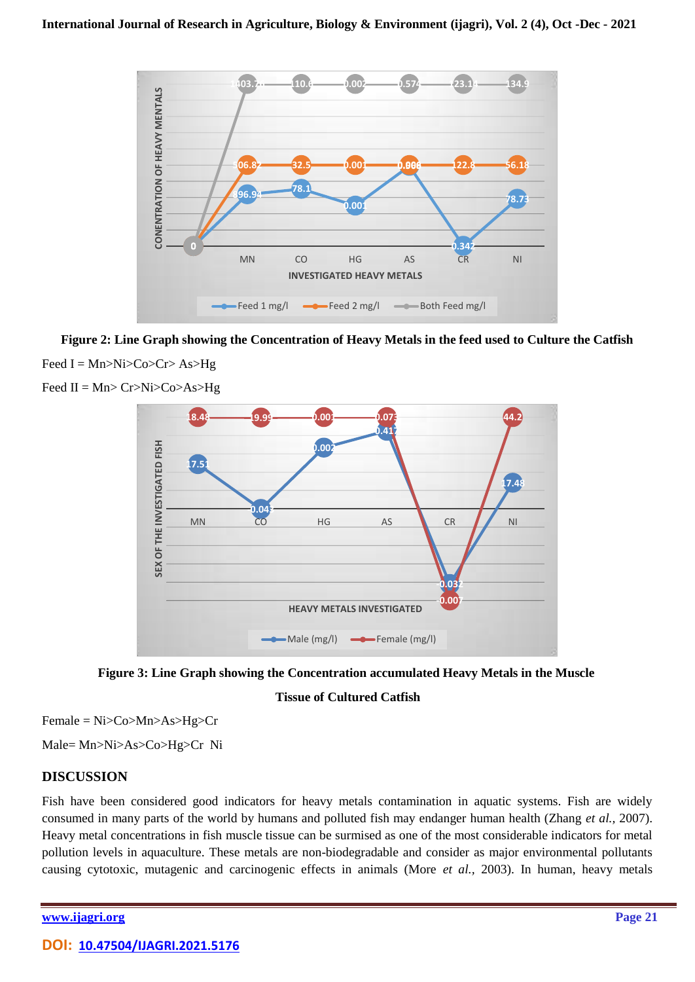

**Figure 2: Line Graph showing the Concentration of Heavy Metals in the feed used to Culture the Catfish** Feed  $I = Mn > Ni > Co > Cr > As > Hg$ 



Feed  $II = Mn > Cr > Ni > Co > As > Hg$ 



**Tissue of Cultured Catfish**

Female = Ni>Co>Mn>As>Hg>Cr

Male= Mn>Ni>As>Co>Hg>Cr Ni

## **DISCUSSION**

Fish have been considered good indicators for heavy metals contamination in aquatic systems. Fish are widely consumed in many parts of the world by humans and polluted fish may endanger human health (Zhang *et al.,* 2007). Heavy metal concentrations in fish muscle tissue can be surmised as one of the most considerable indicators for metal pollution levels in aquaculture. These metals are non-biodegradable and consider as major environmental pollutants causing cytotoxic, mutagenic and carcinogenic effects in animals (More *et al.,* 2003). In human, heavy metals

**[www.ijagri.org](https://ijagri.org/index.php/ijagri/about) Page 21**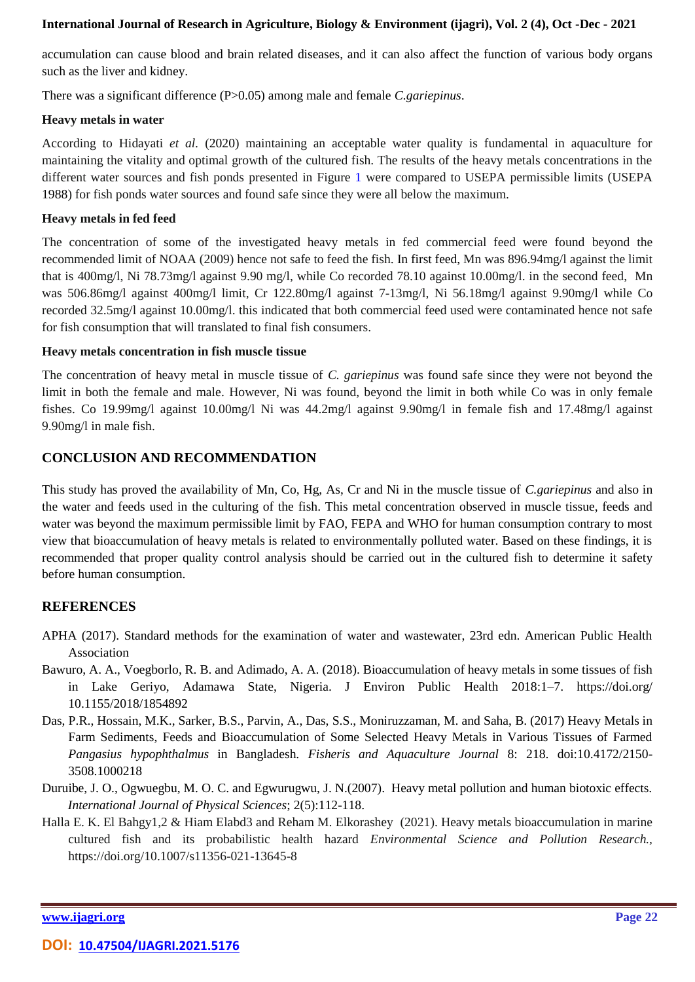#### **International Journal of Research in Agriculture, Biology & Environment [\(ijagri\),](http://www.ijasre.net/) Vol. 2 (4), Oct -Dec - 2021**

accumulation can cause blood and brain related diseases, and it can also affect the function of various body organs such as the liver and kidney.

There was a significant difference (P>0.05) among male and female *C.gariepinus*.

#### **Heavy metals in water**

According to Hidayati *et al.* (2020) maintaining an acceptable water quality is fundamental in aquaculture for maintaining the vitality and optimal growth of the cultured fish. The results of the heavy metals concentrations in the different water sources and fish ponds presented in Figure 1 were compared to USEPA permissible limits (USEPA 1988) for fish ponds water sources and found safe since they were all below the maximum.

#### **Heavy metals in fed feed**

The concentration of some of the investigated heavy metals in fed commercial feed were found beyond the recommended limit of NOAA (2009) hence not safe to feed the fish. In first feed, Mn was 896.94mg/l against the limit that is 400mg/l, Ni 78.73mg/l against 9.90 mg/l, while Co recorded 78.10 against 10.00mg/l. in the second feed, Mn was 506.86mg/l against 400mg/l limit, Cr 122.80mg/l against 7-13mg/l, Ni 56.18mg/l against 9.90mg/l while Co recorded 32.5mg/l against 10.00mg/l. this indicated that both commercial feed used were contaminated hence not safe for fish consumption that will translated to final fish consumers.

#### **Heavy metals concentration in fish muscle tissue**

The concentration of heavy metal in muscle tissue of *C. gariepinus* was found safe since they were not beyond the limit in both the female and male. However, Ni was found, beyond the limit in both while Co was in only female fishes. Co 19.99mg/l against 10.00mg/l Ni was 44.2mg/l against 9.90mg/l in female fish and 17.48mg/l against 9.90mg/l in male fish.

## **CONCLUSION AND RECOMMENDATION**

This study has proved the availability of Mn, Co, Hg, As, Cr and Ni in the muscle tissue of *C.gariepinus* and also in the water and feeds used in the culturing of the fish. This metal concentration observed in muscle tissue, feeds and water was beyond the maximum permissible limit by FAO, FEPA and WHO for human consumption contrary to most view that bioaccumulation of heavy metals is related to environmentally polluted water. Based on these findings, it is recommended that proper quality control analysis should be carried out in the cultured fish to determine it safety before human consumption.

## **REFERENCES**

- APHA (2017). Standard methods for the examination of water and wastewater, 23rd edn. American Public Health Association
- Bawuro, A. A., Voegborlo, R. B. and Adimado, A. A. (2018). Bioaccumulation of heavy metals in some tissues of fish in Lake Geriyo, Adamawa State, Nigeria. J Environ Public Health 2018:1–7. https://doi.org/ 10.1155/2018/1854892
- Das, P.R., Hossain, M.K., Sarker, B.S., Parvin, A., Das, S.S., Moniruzzaman, M. and Saha, B. (2017) Heavy Metals in Farm Sediments, Feeds and Bioaccumulation of Some Selected Heavy Metals in Various Tissues of Farmed *Pangasius hypophthalmus* in Bangladesh. *Fisheris and Aquaculture Journal* 8: 218. doi:10.4172/2150- 3508.1000218
- Duruibe, J. O., Ogwuegbu, M. O. C. and Egwurugwu, J. N.(2007). Heavy metal pollution and human biotoxic effects. *International Journal of Physical Sciences*; 2(5):112-118.
- Halla E. K. El Bahgy1,2 & Hiam Elabd3 and Reham M. Elkorashey (2021). Heavy metals bioaccumulation in marine cultured fish and its probabilistic health hazard *Environmental Science and Pollution Research.,*  https://doi.org/10.1007/s11356-021-13645-8

**[www.ijagri.org](https://ijagri.org/index.php/ijagri/about) Page 22**